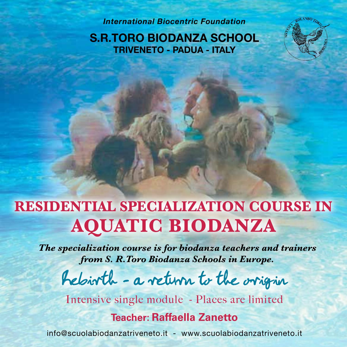*International Biocentric Foundation*

**S.R.TORO BIODANZA SCHOOL TRIVENETO - PADUA - ITALY**

# **RESIDENTIAL SPECIALIZATION COURSE in AQUATIC BIODANZA**

*The specialization course is for biodanza teachers and trainers from S. R.Toro Biodanza Schools in Europe.*

Rebirth - a return to the origin

Intensive single module - Places are limited

# **Teacher: Raffaella Zanetto**

info@scuolabiodanzatriveneto.it - www.scuolabiodanzatriveneto.it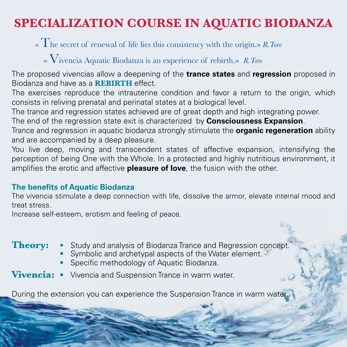# **SPECIALIZATION COURSE IN AQUATIC BIODANZA**

« The secret of renewal of life lies this consistency with the origin.» *R.Toro*

## « Vivencia Aquatic Biodanza is an experience of rebirth.» *R.Toro*

The proposed vivencias allow a deepening of the **trance states** and **regression** proposed in Biodanza and have as a **Rebirth** effect.

The exercises reproduce the intrauterine condition and favor a return to the origin, which consists in reliving prenatal and perinatal states at a biological level.

The trance and regression states achieved are of great depth and high integrating power.

The end of the regression state exit is characterized by **Consciousness Expansion**.

Trance and regression in aquatic biodanza strongly stimulate the **organic regeneration** ability and are accompanied by a deep pleasure.

You live deep, moving and transcendent states of affective expansion, intensifying the perception of being One with the Whole. In a protected and highly nutritious environment, it amplifies the erotic and affective **pleasure of love**, the fusion with the other.

#### **The benefits of Aquatic Biodanza**

The vivencia stimulate a deep connection with life, dissolve the armor, elevate internal mood and treat stress.

Increase self-esteem, erotism and feeling of peace.

- **Theory:** Study and analysis of Biodanza Trance and Regression concept.
	- Symbolic and archetypal aspects of the Water element.
	- Specific methodology of Aquatic Biodanza.
- **Vivencia:** Vivencia and Suspension Trance in warm water.

During the extension you can experience the Suspension Trance in warm water.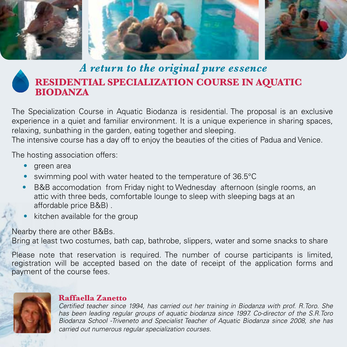

# *A return to the original pure essence* **RESIDENTIAL SPECIALIZATION COURSE IN AQUATIC BIODANZA**

The Specialization Course in Aquatic Biodanza is residential. The proposal is an exclusive experience in a quiet and familiar environment. It is a unique experience in sharing spaces, relaxing, sunbathing in the garden, eating together and sleeping.

The intensive course has a day off to enjoy the beauties of the cities of Padua and Venice.

The hosting association offers:

- green area
- swimming pool with water heated to the temperature of 36.5°C
- B&B accomodation from Friday night to Wednesday afternoon (single rooms, an attic with three beds, comfortable lounge to sleep with sleeping bags at an affordable price B&B) .
- kitchen available for the group

Nearby there are other B&Bs.

Bring at least two costumes, bath cap, bathrobe, slippers, water and some snacks to share

Please note that reservation is required. The number of course participants is limited, registration will be accepted based on the date of receipt of the application forms and payment of the course fees.



#### **Raffaella Zanetto**

*Certified teacher since 1994, has carried out her training in Biodanza with prof. R.Toro. She has been leading regular groups of aquatic biodanza since 1997. Co-director of the S.R.Toro Biodanza School -Triveneto and Specialist Teacher of Aquatic Biodanza since 2008, she has carried out numerous regular specialization courses.*